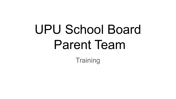# UPU School Board Parent Team

**Training**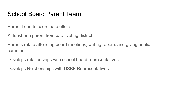### School Board Parent Team

Parent Lead to coordinate efforts

At least one parent from each voting district

Parents rotate attending board meetings, writing reports and giving public comment

Develops relationships with school board representatives

Develops Relationships with USBE Representatives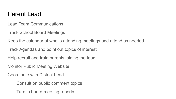#### Parent Lead

Lead Team Communications

Track School Board Meetings

Keep the calendar of who is attending meetings and attend as needed

Track Agendas and point out topics of interest

Help recruit and train parents joining the team

Monitor Public Meeting Website

Coordinate with District Lead

Consult on public comment topics

Turn in board meeting reports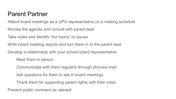#### Parent Partner

Attend board meetings as a UPU representative on a rotating schedule

Review the agenda and consult with parent lead

Take notes and identify "hot topics" or issues

Write board meeting reports and turn them in to the parent lead

Develop a relationship with your school board representative

Meet them in person

Communicate with them regularly through phone/e-mail

Ask questions for them to ask in board meetings

Thank them for supporting parent rights with their votes

Present public comment as needed